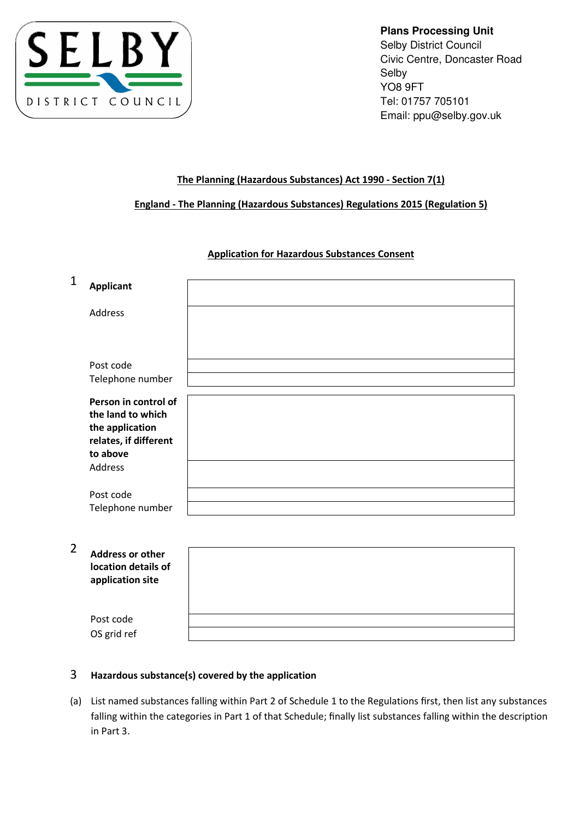

**Plans Processing Unit**  Selby District Council Civic Centre, Doncaster Road Selby YO8 9FT Tel: 01757 705101 Email: ppu@selby.gov.uk

# The Planning (Hazardous Substances) Act 1990 - Section 7(1)

# England - The Planning (Hazardous Substances) Regulations 2015 (Regulation 5)

# Application for Hazardous Substances Consent

| 1 | <b>Applicant</b>                         |  |
|---|------------------------------------------|--|
|   | Address                                  |  |
|   |                                          |  |
|   | Post code                                |  |
|   | Telephone number                         |  |
|   | Person in control of                     |  |
|   | the land to which                        |  |
|   | the application<br>relates, if different |  |
|   | to above                                 |  |
|   | Address                                  |  |
|   | Post code                                |  |
|   | Telephone number                         |  |

2 Address or location de application

| <b>Address or other</b><br>location details of<br>application site |  |
|--------------------------------------------------------------------|--|
| Post code                                                          |  |
| OS grid ref                                                        |  |

# 3 Hazardous substance(s) covered by the application

(a) List named substances falling within Part 2 of Schedule 1 to the Regulations first, then list any substances falling within the categories in Part 1 of that Schedule; finally list substances falling within the description in Part 3.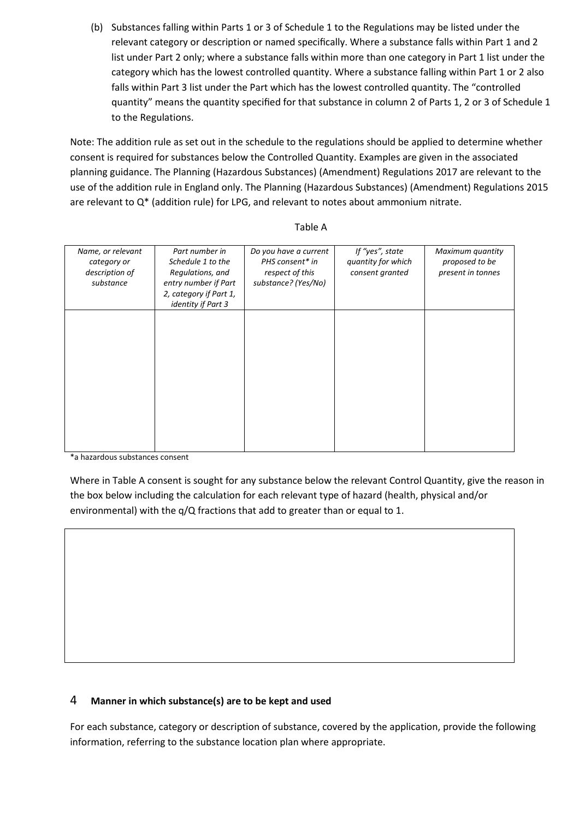(b) Substances falling within Parts 1 or 3 of Schedule 1 to the Regulations may be listed under the relevant category or description or named specifically. Where a substance falls within Part 1 and 2 list under Part 2 only; where a substance falls within more than one category in Part 1 list under the category which has the lowest controlled quantity. Where a substance falling within Part 1 or 2 also falls within Part 3 list under the Part which has the lowest controlled quantity. The "controlled quantity" means the quantity specified for that substance in column 2 of Parts 1, 2 or 3 of Schedule 1 to the Regulations.

Note: The addition rule as set out in the schedule to the regulations should be applied to determine whether consent is required for substances below the Controlled Quantity. Examples are given in the associated planning guidance. The Planning (Hazardous Substances) (Amendment) Regulations 2017 are relevant to the use of the addition rule in England only. The Planning (Hazardous Substances) (Amendment) Regulations 2015 are relevant to Q\* (addition rule) for LPG, and relevant to notes about ammonium nitrate.

| Name, or relevant<br>category or<br>description of<br>substance | Part number in<br>Schedule 1 to the<br>Regulations, and<br>entry number if Part<br>2, category if Part 1,<br>identity if Part 3 | Do you have a current<br>PHS consent* in<br>respect of this<br>substance? (Yes/No) | If "yes", state<br>quantity for which<br>consent granted | Maximum quantity<br>proposed to be<br>present in tonnes |
|-----------------------------------------------------------------|---------------------------------------------------------------------------------------------------------------------------------|------------------------------------------------------------------------------------|----------------------------------------------------------|---------------------------------------------------------|
|                                                                 |                                                                                                                                 |                                                                                    |                                                          |                                                         |
|                                                                 |                                                                                                                                 |                                                                                    |                                                          |                                                         |

## Table A

\*a hazardous substances consent

Where in Table A consent is sought for any substance below the relevant Control Quantity, give the reason in the box below including the calculation for each relevant type of hazard (health, physical and/or environmental) with the q/Q fractions that add to greater than or equal to 1.

## 4 Manner in which substance(s) are to be kept and used

For each substance, category or description of substance, covered by the application, provide the following information, referring to the substance location plan where appropriate.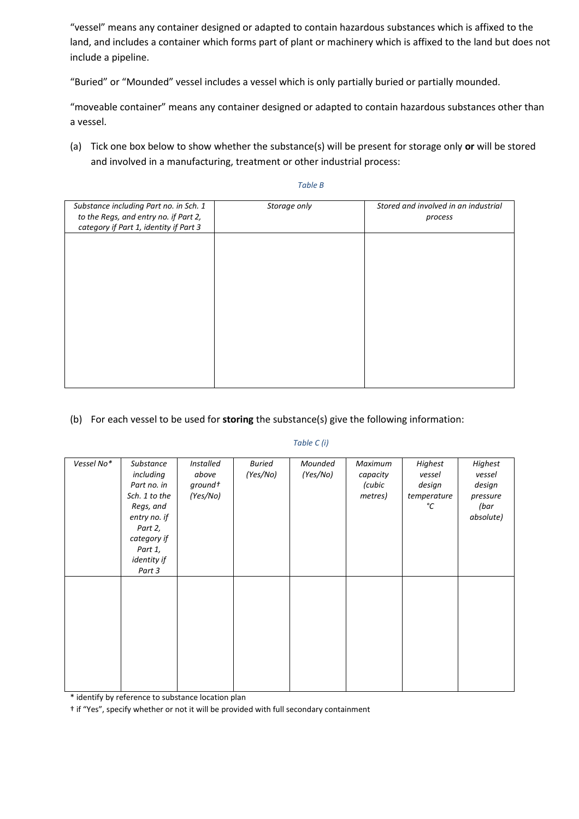"vessel" means any container designed or adapted to contain hazardous substances which is affixed to the land, and includes a container which forms part of plant or machinery which is affixed to the land but does not include a pipeline.

"Buried" or "Mounded" vessel includes a vessel which is only partially buried or partially mounded.

"moveable container" means any container designed or adapted to contain hazardous substances other than a vessel.

(a) Tick one box below to show whether the substance(s) will be present for storage only or will be stored and involved in a manufacturing, treatment or other industrial process:

#### Table B

| Substance including Part no. in Sch. 1 | Storage only | Stored and involved in an industrial |
|----------------------------------------|--------------|--------------------------------------|
| to the Regs, and entry no. if Part 2,  |              | process                              |
|                                        |              |                                      |
| category if Part 1, identity if Part 3 |              |                                      |
|                                        |              |                                      |
|                                        |              |                                      |
|                                        |              |                                      |
|                                        |              |                                      |
|                                        |              |                                      |
|                                        |              |                                      |
|                                        |              |                                      |
|                                        |              |                                      |
|                                        |              |                                      |
|                                        |              |                                      |
|                                        |              |                                      |
|                                        |              |                                      |
|                                        |              |                                      |
|                                        |              |                                      |
|                                        |              |                                      |
|                                        |              |                                      |
|                                        |              |                                      |
|                                        |              |                                      |
|                                        |              |                                      |

## (b) For each vessel to be used for storing the substance(s) give the following information:

## Table C (i)

| Vessel No* | Substance<br>including<br>Part no. in<br>Sch. 1 to the<br>Regs, and<br>entry no. if<br>Part 2,<br>category if<br>Part 1,<br>identity if | Installed<br>above<br>ground+<br>(Yes/No) | <b>Buried</b><br>(Yes/No) | Mounded<br>(Yes/No) | Maximum<br>capacity<br>(cubic<br>metres) | Highest<br>vessel<br>design<br>temperature<br>°C | Highest<br>vessel<br>design<br>pressure<br>(bar<br>absolute) |
|------------|-----------------------------------------------------------------------------------------------------------------------------------------|-------------------------------------------|---------------------------|---------------------|------------------------------------------|--------------------------------------------------|--------------------------------------------------------------|
|            | Part 3                                                                                                                                  |                                           |                           |                     |                                          |                                                  |                                                              |

\* identify by reference to substance location plan

† if "Yes", specify whether or not it will be provided with full secondary containment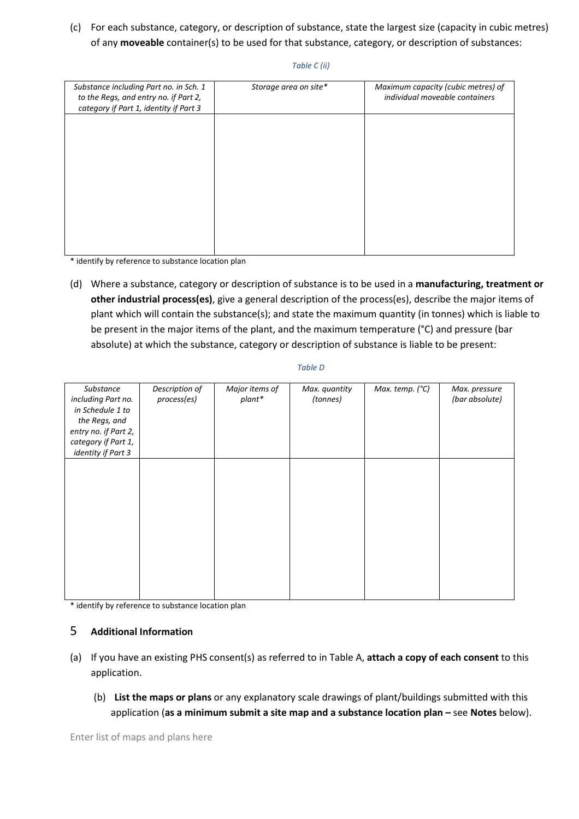(c) For each substance, category, or description of substance, state the largest size (capacity in cubic metres) of any moveable container(s) to be used for that substance, category, or description of substances:

#### Table C (ii)

| Substance including Part no. in Sch. 1<br>to the Regs, and entry no. if Part 2,<br>category if Part 1, identity if Part 3 | Storage area on site* | Maximum capacity (cubic metres) of<br>individual moveable containers |
|---------------------------------------------------------------------------------------------------------------------------|-----------------------|----------------------------------------------------------------------|
|                                                                                                                           |                       |                                                                      |
|                                                                                                                           |                       |                                                                      |
|                                                                                                                           |                       |                                                                      |
|                                                                                                                           |                       |                                                                      |
|                                                                                                                           |                       |                                                                      |

\* identify by reference to substance location plan

(d) Where a substance, category or description of substance is to be used in a manufacturing, treatment or other industrial process(es), give a general description of the process(es), describe the major items of plant which will contain the substance(s); and state the maximum quantity (in tonnes) which is liable to be present in the major items of the plant, and the maximum temperature (°C) and pressure (bar absolute) at which the substance, category or description of substance is liable to be present:

| Substance            | Description of | Major items of | Max. quantity | Max. temp. (°C) | Max. pressure  |
|----------------------|----------------|----------------|---------------|-----------------|----------------|
| including Part no.   | process(es)    | plant*         | (tonnes)      |                 | (bar absolute) |
| in Schedule 1 to     |                |                |               |                 |                |
| the Regs, and        |                |                |               |                 |                |
| entry no. if Part 2, |                |                |               |                 |                |
| category if Part 1,  |                |                |               |                 |                |
| identity if Part 3   |                |                |               |                 |                |
|                      |                |                |               |                 |                |
|                      |                |                |               |                 |                |
|                      |                |                |               |                 |                |
|                      |                |                |               |                 |                |
|                      |                |                |               |                 |                |
|                      |                |                |               |                 |                |
|                      |                |                |               |                 |                |
|                      |                |                |               |                 |                |
|                      |                |                |               |                 |                |
|                      |                |                |               |                 |                |
|                      |                |                |               |                 |                |
|                      |                |                |               |                 |                |
|                      |                |                |               |                 |                |

\* identify by reference to substance location plan

## 5 Additional Information

- (a) If you have an existing PHS consent(s) as referred to in Table A, attach a copy of each consent to this application.
	- (b) List the maps or plans or any explanatory scale drawings of plant/buildings submitted with this application (as a minimum submit a site map and a substance location plan – see Notes below).

Enter list of maps and plans here

## Table D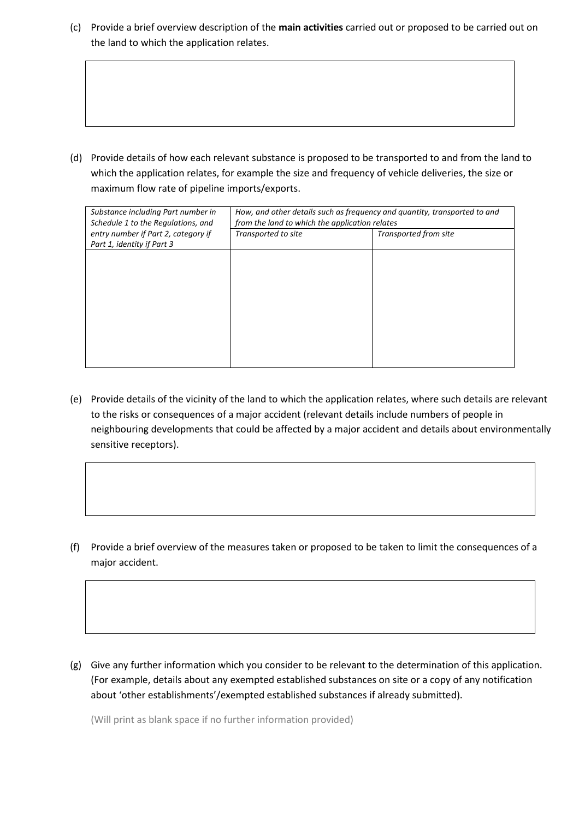(c) Provide a brief overview description of the main activities carried out or proposed to be carried out on the land to which the application relates.

(d) Provide details of how each relevant substance is proposed to be transported to and from the land to which the application relates, for example the size and frequency of vehicle deliveries, the size or maximum flow rate of pipeline imports/exports.

| Substance including Part number in<br>Schedule 1 to the Regulations, and | How, and other details such as frequency and quantity, transported to and<br>from the land to which the application relates |                       |  |
|--------------------------------------------------------------------------|-----------------------------------------------------------------------------------------------------------------------------|-----------------------|--|
| entry number if Part 2, category if<br>Part 1, identity if Part 3        | Transported to site                                                                                                         | Transported from site |  |
|                                                                          |                                                                                                                             |                       |  |
|                                                                          |                                                                                                                             |                       |  |
|                                                                          |                                                                                                                             |                       |  |
|                                                                          |                                                                                                                             |                       |  |
|                                                                          |                                                                                                                             |                       |  |
|                                                                          |                                                                                                                             |                       |  |

(e) Provide details of the vicinity of the land to which the application relates, where such details are relevant to the risks or consequences of a major accident (relevant details include numbers of people in neighbouring developments that could be affected by a major accident and details about environmentally sensitive receptors).

(f) Provide a brief overview of the measures taken or proposed to be taken to limit the consequences of a major accident.

(g) Give any further information which you consider to be relevant to the determination of this application. (For example, details about any exempted established substances on site or a copy of any notification about 'other establishments'/exempted established substances if already submitted).

(Will print as blank space if no further information provided)